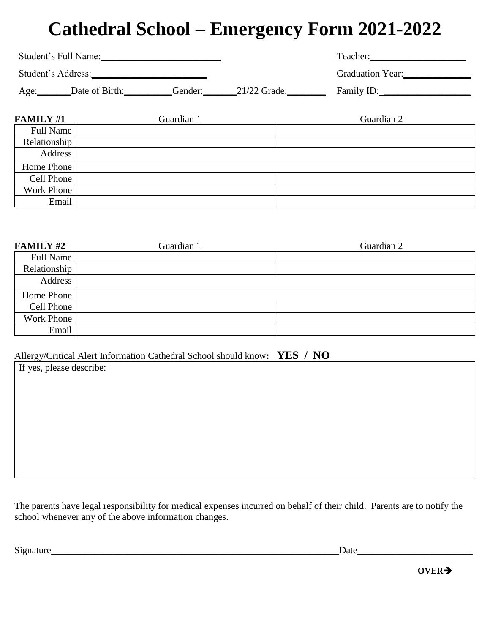# **Cathedral School – Emergency Form 2021-2022**

| Student's Full Name: |                |         |                | Teacher:                |
|----------------------|----------------|---------|----------------|-------------------------|
| Student's Address:   |                |         |                | <b>Graduation Year:</b> |
| Age:                 | Date of Birth: | Gender: | $21/22$ Grade: | Family ID:              |

| <b>FAMILY #1</b>  | Guardian 1 | Guardian 2 |
|-------------------|------------|------------|
| <b>Full Name</b>  |            |            |
| Relationship      |            |            |
| Address           |            |            |
| Home Phone        |            |            |
| Cell Phone        |            |            |
| <b>Work Phone</b> |            |            |
| Email             |            |            |

| <b>FAMILY #2</b> | Guardian 1 | Guardian 2 |
|------------------|------------|------------|
| <b>Full Name</b> |            |            |
| Relationship     |            |            |
| Address          |            |            |
| Home Phone       |            |            |
| Cell Phone       |            |            |
| Work Phone       |            |            |
| Email            |            |            |

#### Allergy/Critical Alert Information Cathedral School should know**: YES / NO**

If yes, please describe:

The parents have legal responsibility for medical expenses incurred on behalf of their child. Parents are to notify the school whenever any of the above information changes.

Signature\_\_\_\_\_\_\_\_\_\_\_\_\_\_\_\_\_\_\_\_\_\_\_\_\_\_\_\_\_\_\_\_\_\_\_\_\_\_\_\_\_\_\_\_\_\_\_\_\_\_\_\_\_\_\_\_\_\_\_\_Date\_\_\_\_\_\_\_\_\_\_\_\_\_\_\_\_\_\_\_\_\_\_\_\_

**OVER**➔